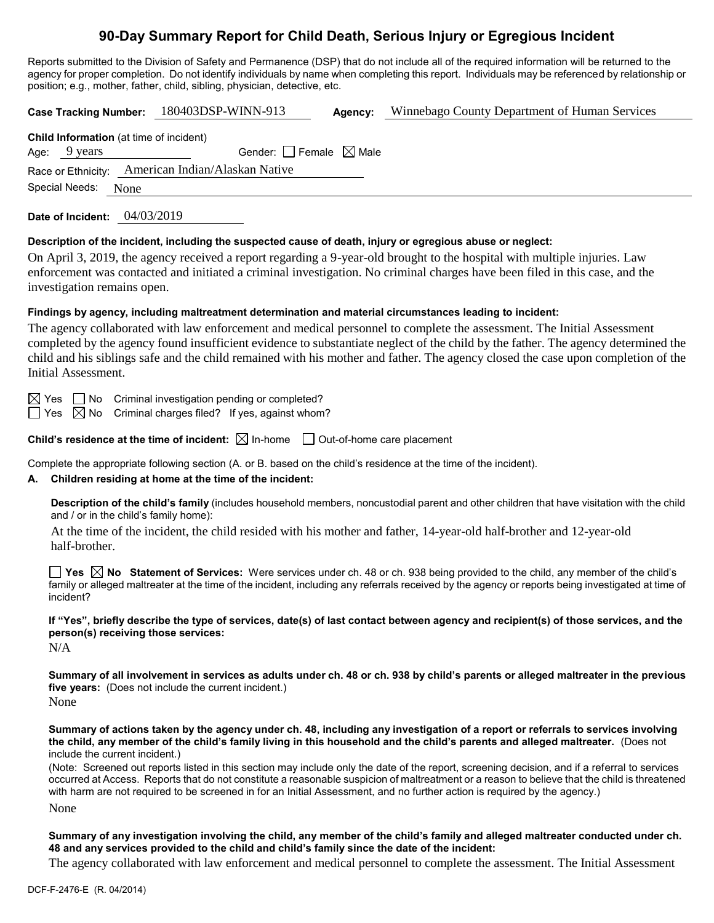# **90-Day Summary Report for Child Death, Serious Injury or Egregious Incident**

Reports submitted to the Division of Safety and Permanence (DSP) that do not include all of the required information will be returned to the agency for proper completion. Do not identify individuals by name when completing this report. Individuals may be referenced by relationship or position; e.g., mother, father, child, sibling, physician, detective, etc.

| <b>Case Tracking Number:</b>                                      | 180403DSP-WINN-913                     | Agency: | Winnebago County Department of Human Services                                                                                                                                                                                                            |
|-------------------------------------------------------------------|----------------------------------------|---------|----------------------------------------------------------------------------------------------------------------------------------------------------------------------------------------------------------------------------------------------------------|
| <b>Child Information</b> (at time of incident)<br>9 years<br>Age: | Gender: $\Box$ Female $\boxtimes$ Male |         |                                                                                                                                                                                                                                                          |
| Race or Ethnicity:                                                | American Indian/Alaskan Native         |         |                                                                                                                                                                                                                                                          |
| Special Needs:<br>None                                            |                                        |         |                                                                                                                                                                                                                                                          |
| 04/03/2019<br>Date of Incident:                                   |                                        |         |                                                                                                                                                                                                                                                          |
|                                                                   |                                        |         | Description of the incident, including the suspected cause of death, injury or egregious abuse or neglect:                                                                                                                                               |
| investigation remains open.                                       |                                        |         | On April 3, 2019, the agency received a report regarding a 9-year-old brought to the hospital with multiple injuries. Law<br>enforcement was contacted and initiated a criminal investigation. No criminal charges have been filed in this case, and the |

### **Findings by agency, including maltreatment determination and material circumstances leading to incident:**

The agency collaborated with law enforcement and medical personnel to complete the assessment. The Initial Assessment completed by the agency found insufficient evidence to substantiate neglect of the child by the father. The agency determined the child and his siblings safe and the child remained with his mother and father. The agency closed the case upon completion of the Initial Assessment.

 $\boxtimes$  Yes  $\Box$  No Criminal investigation pending or completed?

 $\Box$  Yes  $\boxtimes$  No Criminal charges filed? If yes, against whom?

**Child's residence at the time of incident:**  $\boxtimes$  In-home  $\Box$  Out-of-home care placement

Complete the appropriate following section (A. or B. based on the child's residence at the time of the incident).

#### **A. Children residing at home at the time of the incident:**

**Description of the child's family** (includes household members, noncustodial parent and other children that have visitation with the child and / or in the child's family home):

At the time of the incident, the child resided with his mother and father, 14-year-old half-brother and 12-year-old half-brother.

**Yes No Statement of Services:** Were services under ch. 48 or ch. 938 being provided to the child, any member of the child's family or alleged maltreater at the time of the incident, including any referrals received by the agency or reports being investigated at time of incident?

**If "Yes", briefly describe the type of services, date(s) of last contact between agency and recipient(s) of those services, and the person(s) receiving those services:**

N/A

**Summary of all involvement in services as adults under ch. 48 or ch. 938 by child's parents or alleged maltreater in the previous five years:** (Does not include the current incident.)

None

**Summary of actions taken by the agency under ch. 48, including any investigation of a report or referrals to services involving the child, any member of the child's family living in this household and the child's parents and alleged maltreater.** (Does not include the current incident.)

(Note: Screened out reports listed in this section may include only the date of the report, screening decision, and if a referral to services occurred at Access. Reports that do not constitute a reasonable suspicion of maltreatment or a reason to believe that the child is threatened with harm are not required to be screened in for an Initial Assessment, and no further action is required by the agency.)

None

**Summary of any investigation involving the child, any member of the child's family and alleged maltreater conducted under ch. 48 and any services provided to the child and child's family since the date of the incident:**

The agency collaborated with law enforcement and medical personnel to complete the assessment. The Initial Assessment